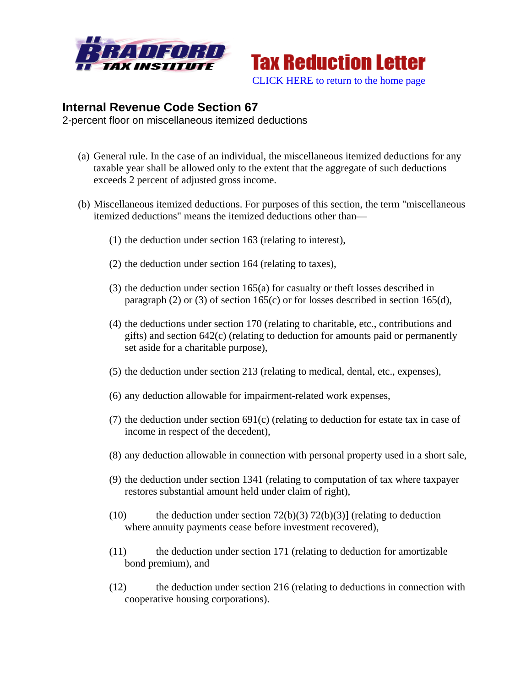



## **Internal Revenue Code Section 67**

2-percent floor on miscellaneous itemized deductions

- (a) General rule. In the case of an individual, the miscellaneous itemized deductions for any taxable year shall be allowed only to the extent that the aggregate of such deductions exceeds 2 percent of adjusted gross income.
- (b) Miscellaneous itemized deductions. For purposes of this section, the term "miscellaneous itemized deductions" means the itemized deductions other than—
	- (1) the deduction under section 163 (relating to interest),
	- (2) the deduction under section 164 (relating to taxes),
	- (3) the deduction under section 165(a) for casualty or theft losses described in paragraph (2) or (3) of section 165(c) or for losses described in section 165(d),
	- (4) the deductions under section 170 (relating to charitable, etc., contributions and gifts) and section  $642(c)$  (relating to deduction for amounts paid or permanently set aside for a charitable purpose),
	- (5) the deduction under section 213 (relating to medical, dental, etc., expenses),
	- (6) any deduction allowable for impairment-related work expenses,
	- (7) the deduction under section 691(c) (relating to deduction for estate tax in case of income in respect of the decedent),
	- (8) any deduction allowable in connection with personal property used in a short sale,
	- (9) the deduction under section 1341 (relating to computation of tax where taxpayer restores substantial amount held under claim of right),
	- (10) the deduction under section  $72(b)(3) 72(b)(3)$ ] (relating to deduction where annuity payments cease before investment recovered),
	- (11) the deduction under section 171 (relating to deduction for amortizable bond premium), and
	- (12) the deduction under section 216 (relating to deductions in connection with cooperative housing corporations).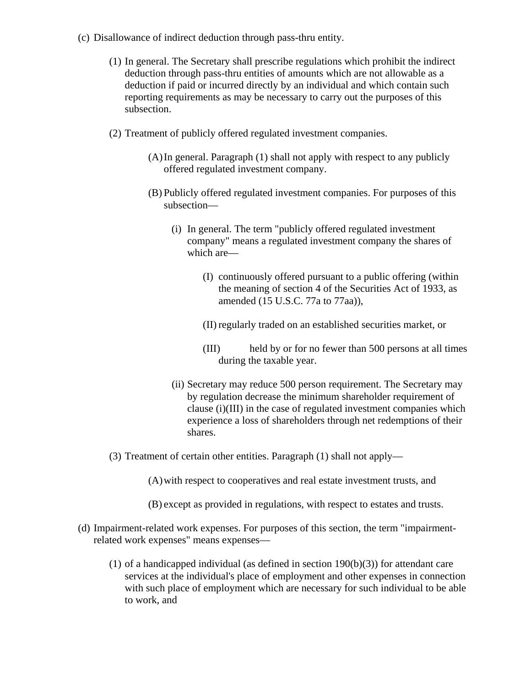- (c) Disallowance of indirect deduction through pass-thru entity.
	- (1) In general. The Secretary shall prescribe regulations which prohibit the indirect deduction through pass-thru entities of amounts which are not allowable as a deduction if paid or incurred directly by an individual and which contain such reporting requirements as may be necessary to carry out the purposes of this subsection.
	- (2) Treatment of publicly offered regulated investment companies.
		- (A)In general. Paragraph (1) shall not apply with respect to any publicly offered regulated investment company.
		- (B) Publicly offered regulated investment companies. For purposes of this subsection—
			- (i) In general. The term "publicly offered regulated investment company" means a regulated investment company the shares of which are—
				- (I) continuously offered pursuant to a public offering (within the meaning of section 4 of the Securities Act of 1933, as amended (15 U.S.C. 77a to 77aa)),
				- (II) regularly traded on an established securities market, or
				- (III) held by or for no fewer than 500 persons at all times during the taxable year.
			- (ii) Secretary may reduce 500 person requirement. The Secretary may by regulation decrease the minimum shareholder requirement of clause (i)(III) in the case of regulated investment companies which experience a loss of shareholders through net redemptions of their shares.
	- (3) Treatment of certain other entities. Paragraph (1) shall not apply—
		- (A)with respect to cooperatives and real estate investment trusts, and
		- (B) except as provided in regulations, with respect to estates and trusts.
- (d) Impairment-related work expenses. For purposes of this section, the term "impairmentrelated work expenses" means expenses—
	- $(1)$  of a handicapped individual (as defined in section  $190(b)(3)$ ) for attendant care services at the individual's place of employment and other expenses in connection with such place of employment which are necessary for such individual to be able to work, and